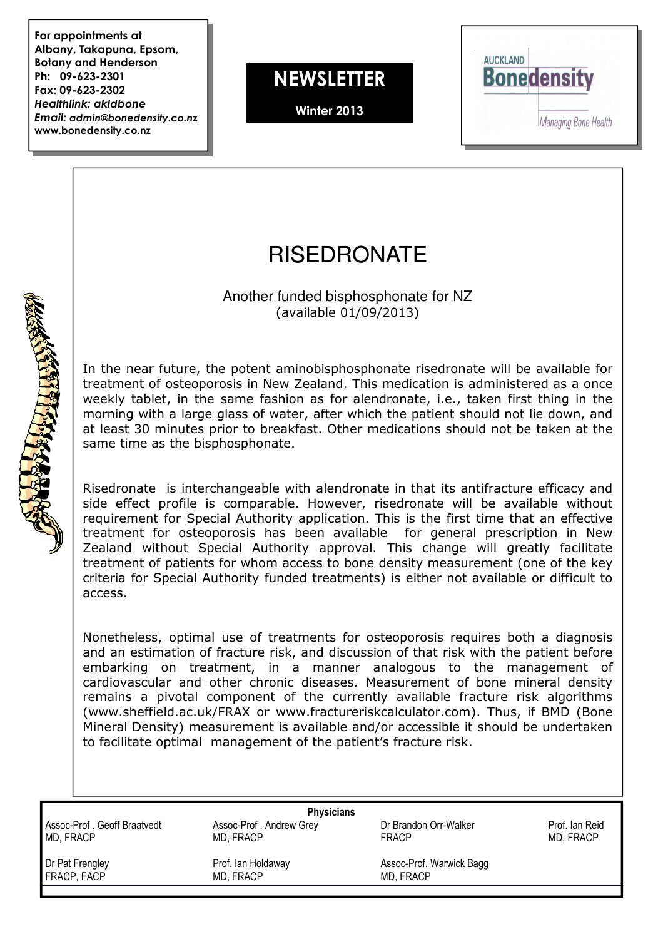For appointments at Albany, Takapuna, Epsom, Botany and Henderson Ph: 09-623-2301 Fax: 09-623-2302 Healthlink: akldbone Email: admin@bonedensity.co.nz www.bonedensity.co.nz

**NEWSLETTER** 

Winter 2013



## **RISEDRONATE**

Another funded bisphosphonate for NZ (available 01/09/2013)

In the near future, the potent aminobisphosphonate risedronate will be available for treatment of osteoporosis in New Zealand. This medication is administered as a once weekly tablet, in the same fashion as for alendronate, i.e., taken first thing in the morning with a large glass of water, after which the patient should not lie down, and at least 30 minutes prior to breakfast. Other medications should not be taken at the same time as the bisphosphonate.

Risedronate is interchangeable with alendronate in that its antifracture efficacy and side effect profile is comparable. However, risedronate will be available without requirement for Special Authority application. This is the first time that an effective treatment for osteoporosis has been available for general prescription in New Zealand without Special Authority approval. This change will greatly facilitate treatment of patients for whom access to bone density measurement (one of the key criteria for Special Authority funded treatments) is either not available or difficult to access.

Nonetheless, optimal use of treatments for osteoporosis requires both a diagnosis and an estimation of fracture risk, and discussion of that risk with the patient before embarking on treatment, in a manner analogous to the management of cardiovascular and other chronic diseases. Measurement of bone mineral density remains a pivotal component of the currently available fracture risk algorithms (www.sheffield.ac.uk/FRAX or www.fractureriskcalculator.com). Thus, if BMD (Bone Mineral Density) measurement is available and/or accessible it should be undertaken to facilitate optimal management of the patient's fracture risk.

Assoc-Prof . Geoff Braatvedt Assoc-Prof . Andrew Grey **Assoc-Prof Dr Brandon Orr-Walker** Prof. Ian Reid Prof. Ian Reid<br>MD. FRACP MD. FRACP **Prof. In Acceptage CRACC** MD, FRACP MD, FRACP FRACP MD, FRACP

**Physicians** 

**ROCKET LONGKARDER** 

FRACP, FACP MD, FRACP MD, FRACP MD, FRACP

Dr Pat Frengley Prof. Ian Holdaway Assoc-Prof. Warwick Bagg